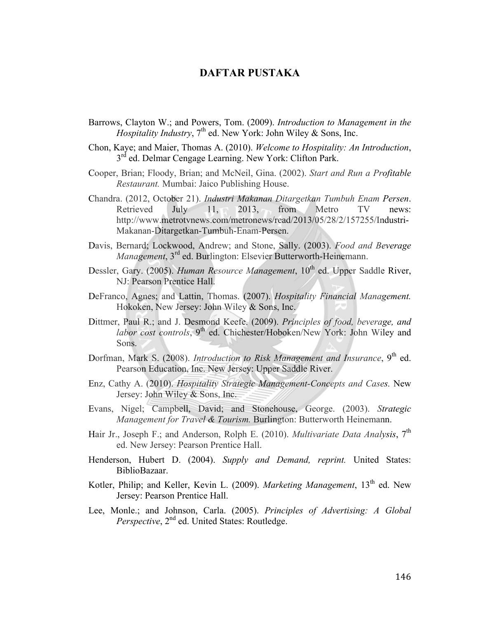## **DAFTAR PUSTAKA**

- Barrows, Clayton W.; and Powers, Tom. (2009). *Introduction to Management in the Hospitality Industry*, 7<sup>th</sup> ed. New York: John Wiley & Sons, Inc.
- Chon, Kaye; and Maier, Thomas A. (2010). *Welcome to Hospitality: An Introduction*,  $3<sup>rd</sup>$  ed. Delmar Cengage Learning. New York: Clifton Park.
- Cooper, Brian; Floody, Brian; and McNeil, Gina. (2002). *Start and Run a Profitable Restaurant.* Mumbai: Jaico Publishing House.
- Chandra. (2012, October 21). *Industri Makanan Ditargetkan Tumbuh Enam Persen*. Retrieved July 11, 2013, from Metro TV news: http://www.metrotvnews.com/metronews/read/2013/05/28/2/157255/Industri-Makanan-Ditargetkan-Tumbuh-Enam-Persen.
- Davis, Bernard; Lockwood, Andrew; and Stone, Sally. (2003). *Food and Beverage Management*, 3<sup>rd</sup> ed. Burlington: Elsevier Butterworth-Heinemann.
- Dessler, Gary. (2005). *Human Resource Management*, 10<sup>th</sup> ed. Upper Saddle River, NJ: Pearson Prentice Hall.
- DeFranco, Agnes; and Lattin, Thomas. (2007). *Hospitality Financial Management.*  Hokoken, New Jersey: John Wiley & Sons, Inc.
- Dittmer, Paul R.; and J. Desmond Keefe. (2009). *Principles of food, beverage, and labor cost controls*, 9<sup>th</sup> ed. Chichester/Hoboken/New York: John Wiley and Sons.
- Dorfman, Mark S. (2008). *Introduction to Risk Management and Insurance*, 9<sup>th</sup> ed. Pearson Education, Inc. New Jersey: Upper Saddle River.
- Enz, Cathy A. (2010). *Hospitality Strategic Management-Concepts and Cases.* New Jersey: John Wiley & Sons, Inc.
- Evans, Nigel; Campbell, David; and Stonehouse, George. (2003). *Strategic Management for Travel & Tourism.* Burlington: Butterworth Heinemann.
- Hair Jr., Joseph F.; and Anderson, Rolph E. (2010). *Multivariate Data Analysis*, 7<sup>th</sup> ed. New Jersey: Pearson Prentice Hall.
- Henderson, Hubert D. (2004). *Supply and Demand, reprint.* United States: BiblioBazaar.
- Kotler, Philip; and Keller, Kevin L. (2009). *Marketing Management*, 13<sup>th</sup> ed. New Jersey: Pearson Prentice Hall.
- Lee, Monle.; and Johnson, Carla. (2005). *Principles of Advertising: A Global Perspective*, 2<sup>nd</sup> ed. United States: Routledge.